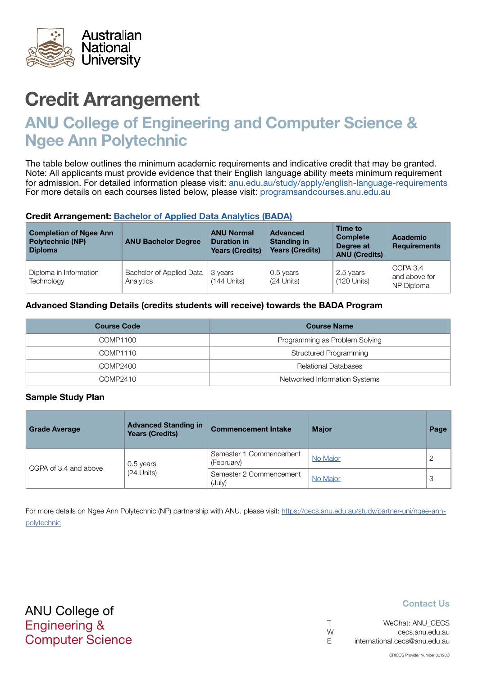

# Credit Arrangement

# ANU College of Engineering and Computer Science & Ngee Ann Polytechnic

The table below outlines the minimum academic requirements and indicative credit that may be granted. Note: All applicants must provide evidence that their English language ability meets minimum requirement for admission. For detailed information please visit: [anu.edu.au/study/apply/english-language-requirements](http://anu.edu.au/study/apply/english-language-requirements) For more details on each courses listed below, please visit: [programsandcourses.anu.edu.au](http://programsandcourses.anu.edu.au/program/BIT)

#### Credit Arrangement: [Bachelor of Applied Data Analytics](http://programsandcourses.anu.edu.au/program/BADAN) (BADA)

| <b>Completion of Ngee Ann</b><br><b>Polytechnic (NP)</b><br><b>Diploma</b> | <b>ANU Bachelor Degree</b>            | <b>ANU Normal</b><br><b>Duration in</b><br><b>Years (Credits)</b> | <b>Advanced</b><br><b>Standing in</b><br><b>Years (Credits)</b> | Time to<br><b>Complete</b><br>Degree at<br><b>ANU (Credits)</b> | <b>Academic</b><br><b>Requirements</b>  |
|----------------------------------------------------------------------------|---------------------------------------|-------------------------------------------------------------------|-----------------------------------------------------------------|-----------------------------------------------------------------|-----------------------------------------|
| Diploma in Information<br>Technology                                       | Bachelor of Applied Data<br>Analytics | 3 years<br>$(144$ Units)                                          | 0.5 years<br>$(24$ Units)                                       | 2.5 years<br>$(120$ Units)                                      | CGPA 3.4<br>and above for<br>NP Diploma |

#### Advanced Standing Details (credits students will receive) towards the BADA Program

| <b>Course Code</b> | <b>Course Name</b>             |
|--------------------|--------------------------------|
| COMP1100           | Programming as Problem Solving |
| COMP1110           | <b>Structured Programming</b>  |
| COMP2400           | Relational Databases           |
| COMP2410           | Networked Information Systems  |

#### Sample Study Plan

| <b>Grade Average</b>  | <b>Advanced Standing in</b><br><b>Years (Credits)</b> | <b>Commencement Intake</b>            | <b>Major</b> | Page |
|-----------------------|-------------------------------------------------------|---------------------------------------|--------------|------|
|                       | 0.5 years                                             | Semester 1 Commencement<br>(February) | No Major     |      |
| CGPA of 3.4 and above | $(24$ Units)                                          | Semester 2 Commencement<br>(July)     | No Major     | 3    |

For more details on Ngee Ann Polytechnic (NP) partnership with ANU, please visit: https://cecs.anu.edu.au/study/partner-uni/ngee-annpolytechnic

## Contact Us

| $\top$ | WeChat: ANU CECS              |
|--------|-------------------------------|
| W      | cecs.anu.edu.au               |
| -F     | international.cecs@anu.edu.au |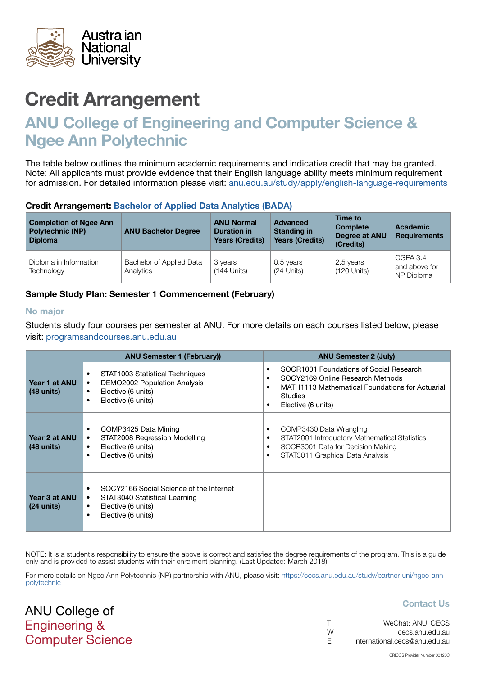<span id="page-1-0"></span>

# Credit Arrangement

# ANU College of Engineering and Computer Science & Ngee Ann Polytechnic

The table below outlines the minimum academic requirements and indicative credit that may be granted. Note: All applicants must provide evidence that their English language ability meets minimum requirement for admission. For detailed information please visit: [anu.edu.au/study/apply/english-language-requirements](http://anu.edu.au/study/apply/english-language-requirements)

#### Credit Arrangement: [Bachelor of Applied Data Analytics](http://programsandcourses.anu.edu.au/program/BADAN) (BADA)

| <b>Completion of Ngee Ann</b><br><b>Polytechnic (NP)</b><br><b>Diploma</b> | <b>ANU Bachelor Degree</b>            | <b>ANU Normal</b><br><b>Duration in</b><br><b>Years (Credits)</b> | <b>Advanced</b><br><b>Standing in</b><br><b>Years (Credits)</b> | Time to<br><b>Complete</b><br><b>Degree at ANU</b><br>(Credits) | Academic<br><b>Requirements</b>         |
|----------------------------------------------------------------------------|---------------------------------------|-------------------------------------------------------------------|-----------------------------------------------------------------|-----------------------------------------------------------------|-----------------------------------------|
| Diploma in Information<br>Technology                                       | Bachelor of Applied Data<br>Analytics | 3 years<br>$(144$ Units)                                          | 0.5 years<br>$(24$ Units)                                       | 2.5 years<br>(120 Units)                                        | CGPA 3.4<br>and above for<br>NP Diploma |

## Sample Study Plan: Semester 1 Commencement (February)

#### No major

ANU College of Engineering &

Computer Science

Students study four courses per semester at ANU. For more details on each courses listed below, please visit: [programsandcourses.anu.edu.au](http://programsandcourses.anu.edu.au/program/BIT)

|                                       | <b>ANU Semester 1 (February))</b>                                                                                                                   | <b>ANU Semester 2 (July)</b>                                                                                                                                           |
|---------------------------------------|-----------------------------------------------------------------------------------------------------------------------------------------------------|------------------------------------------------------------------------------------------------------------------------------------------------------------------------|
| Year 1 at ANU<br>$(48 \text{ units})$ | STAT1003 Statistical Techniques<br>٠<br>DEMO2002 Population Analysis<br>٠<br>Elective (6 units)<br>$\bullet$<br>Elective (6 units)<br>$\bullet$     | SOCR1001 Foundations of Social Research<br>SOCY2169 Online Research Methods<br>MATH1113 Mathematical Foundations for Actuarial<br><b>Studies</b><br>Elective (6 units) |
| Year 2 at ANU<br>$(48 \text{ units})$ | COMP3425 Data Mining<br>٠<br>STAT2008 Regression Modelling<br>٠<br>Elective (6 units)<br>٠<br>Elective (6 units)<br>$\bullet$                       | COMP3430 Data Wrangling<br>STAT2001 Introductory Mathematical Statistics<br>SOCR3001 Data for Decision Making<br>STAT3011 Graphical Data Analysis                      |
| Year 3 at ANU<br>$(24 \text{ units})$ | SOCY2166 Social Science of the Internet<br>STAT3040 Statistical Learning<br>$\bullet$<br>Elective (6 units)<br>٠<br>Elective (6 units)<br>$\bullet$ |                                                                                                                                                                        |

NOTE: It is a student's responsibility to ensure the above is correct and satisfies the degree requirements of the program. This is a quide only and is provided to assist students with their enrolment planning. (Last Updated: March 2018)

For more details on Ngee Ann Polytechnic (NP) partnership with ANU, please visit: https://cecs.anu.edu.au/study/partner-uni/ngee-annpolytechnic

#### Contact Us

|    | WeChat: ANU CECS              |
|----|-------------------------------|
| W  | cecs.anu.edu.au               |
| E. | international.cecs@anu.edu.au |